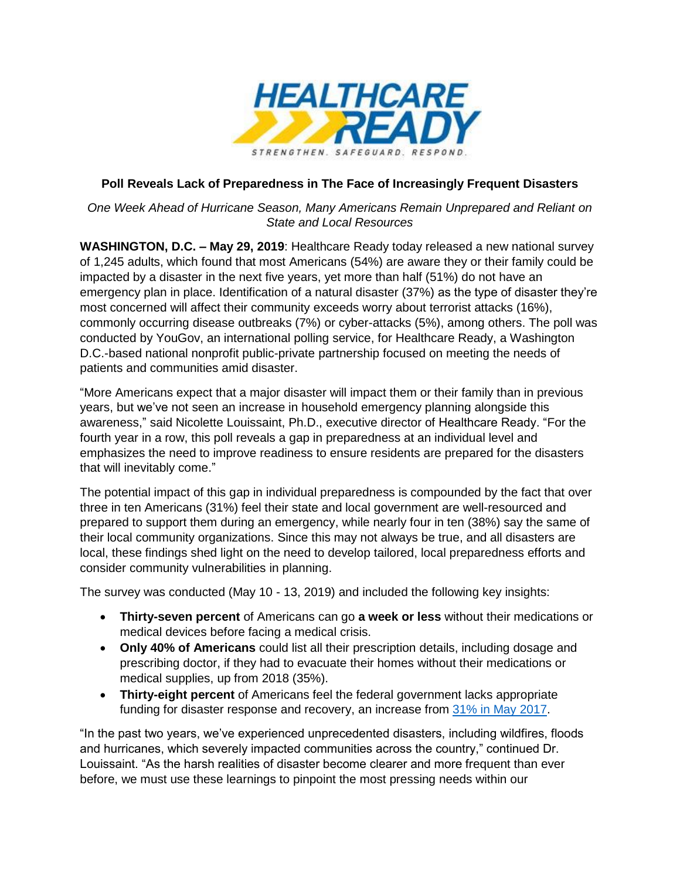

## **Poll Reveals Lack of Preparedness in The Face of Increasingly Frequent Disasters**

*One Week Ahead of Hurricane Season, Many Americans Remain Unprepared and Reliant on State and Local Resources* 

**WASHINGTON, D.C. – May 29, 2019**: Healthcare Ready today released a new national survey of 1,245 adults, which found that most Americans (54%) are aware they or their family could be impacted by a disaster in the next five years, yet more than half (51%) do not have an emergency plan in place. Identification of a natural disaster (37%) as the type of disaster they're most concerned will affect their community exceeds worry about terrorist attacks (16%), commonly occurring disease outbreaks (7%) or cyber-attacks (5%), among others. The poll was conducted by YouGov, an international polling service, for Healthcare Ready, a Washington D.C.-based national nonprofit public-private partnership focused on meeting the needs of patients and communities amid disaster.

"More Americans expect that a major disaster will impact them or their family than in previous years, but we've not seen an increase in household emergency planning alongside this awareness," said Nicolette Louissaint, Ph.D., executive director of Healthcare Ready. "For the fourth year in a row, this poll reveals a gap in preparedness at an individual level and emphasizes the need to improve readiness to ensure residents are prepared for the disasters that will inevitably come."

The potential impact of this gap in individual preparedness is compounded by the fact that over three in ten Americans (31%) feel their state and local government are well-resourced and prepared to support them during an emergency, while nearly four in ten (38%) say the same of their local community organizations. Since this may not always be true, and all disasters are local, these findings shed light on the need to develop tailored, local preparedness efforts and consider community vulnerabilities in planning.

The survey was conducted (May 10 - 13, 2019) and included the following key insights:

- **Thirty-seven percent** of Americans can go **a week or less** without their medications or medical devices before facing a medical crisis.
- **Only 40% of Americans** could list all their prescription details, including dosage and prescribing doctor, if they had to evacuate their homes without their medications or medical supplies, up from 2018 (35%).
- **Thirty-eight percent** of Americans feel the federal government lacks appropriate funding for disaster response and recovery, an increase from [31% in](https://www.healthcareready.org/press-release/for-the-second-year-poll-shows-americans-fear-natural-disasters-affecting-their-communities-more-than-terrorism--global-pandemic-or-cyber-attack-combined) May 2017.

"In the past two years, we've experienced unprecedented disasters, including wildfires, floods and hurricanes, which severely impacted communities across the country," continued Dr. Louissaint. "As the harsh realities of disaster become clearer and more frequent than ever before, we must use these learnings to pinpoint the most pressing needs within our